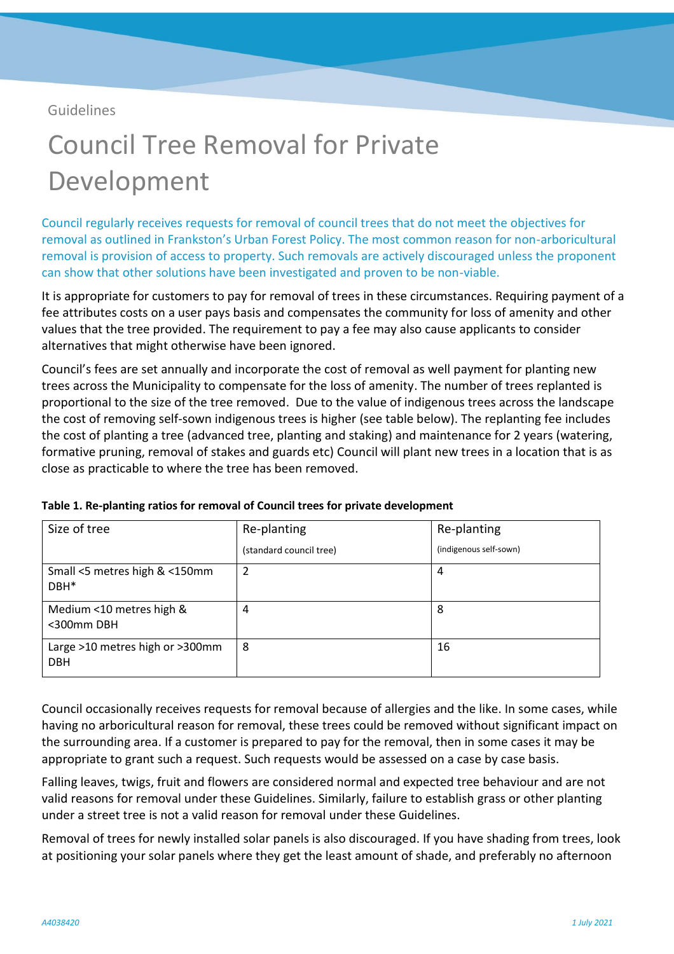Guidelines

## Council Tree Removal for Private Development

Council regularly receives requests for removal of council trees that do not meet the objectives for removal as outlined in Frankston's Urban Forest Policy. The most common reason for non-arboricultural removal is provision of access to property. Such removals are actively discouraged unless the proponent can show that other solutions have been investigated and proven to be non-viable.

It is appropriate for customers to pay for removal of trees in these circumstances. Requiring payment of a fee attributes costs on a user pays basis and compensates the community for loss of amenity and other values that the tree provided. The requirement to pay a fee may also cause applicants to consider alternatives that might otherwise have been ignored.

Council's fees are set annually and incorporate the cost of removal as well payment for planting new trees across the Municipality to compensate for the loss of amenity. The number of trees replanted is proportional to the size of the tree removed. Due to the value of indigenous trees across the landscape the cost of removing self-sown indigenous trees is higher (see table below). The replanting fee includes the cost of planting a tree (advanced tree, planting and staking) and maintenance for 2 years (watering, formative pruning, removal of stakes and guards etc) Council will plant new trees in a location that is as close as practicable to where the tree has been removed.

| Size of tree                                      | Re-planting             | Re-planting            |
|---------------------------------------------------|-------------------------|------------------------|
|                                                   | (standard council tree) | (indigenous self-sown) |
| Small <5 metres high & <150mm<br>DBH <sup>*</sup> | 2                       | 4                      |
| Medium <10 metres high &<br><300mm DBH            | 4                       | 8                      |
| Large >10 metres high or >300mm<br><b>DBH</b>     | 8                       | 16                     |

**Table 1. Re-planting ratios for removal of Council trees for private development**

Council occasionally receives requests for removal because of allergies and the like. In some cases, while having no arboricultural reason for removal, these trees could be removed without significant impact on the surrounding area. If a customer is prepared to pay for the removal, then in some cases it may be appropriate to grant such a request. Such requests would be assessed on a case by case basis.

Falling leaves, twigs, fruit and flowers are considered normal and expected tree behaviour and are not valid reasons for removal under these Guidelines. Similarly, failure to establish grass or other planting under a street tree is not a valid reason for removal under these Guidelines.

Removal of trees for newly installed solar panels is also discouraged. If you have shading from trees, look at positioning your solar panels where they get the least amount of shade, and preferably no afternoon